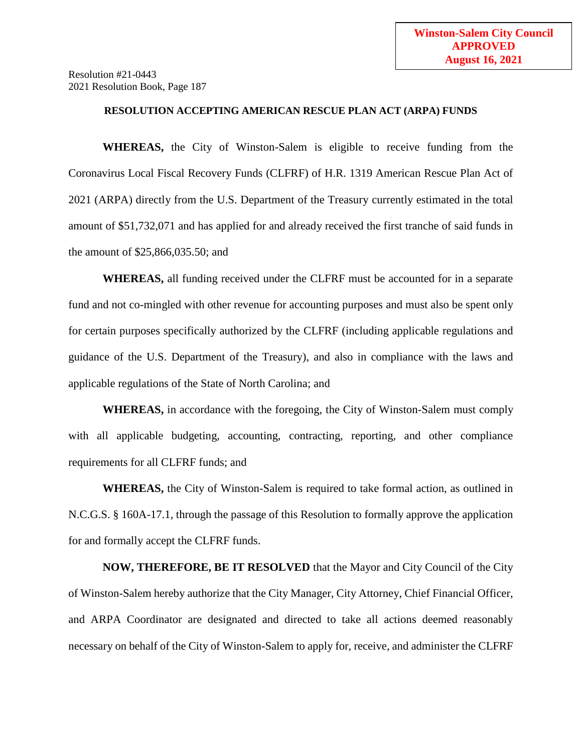## **RESOLUTION ACCEPTING AMERICAN RESCUE PLAN ACT (ARPA) FUNDS**

**WHEREAS,** the City of Winston-Salem is eligible to receive funding from the Coronavirus Local Fiscal Recovery Funds (CLFRF) of H.R. 1319 American Rescue Plan Act of 2021 (ARPA) directly from the U.S. Department of the Treasury currently estimated in the total amount of \$51,732,071 and has applied for and already received the first tranche of said funds in the amount of \$25,866,035.50; and

**WHEREAS,** all funding received under the CLFRF must be accounted for in a separate fund and not co-mingled with other revenue for accounting purposes and must also be spent only for certain purposes specifically authorized by the CLFRF (including applicable regulations and guidance of the U.S. Department of the Treasury), and also in compliance with the laws and applicable regulations of the State of North Carolina; and

**WHEREAS,** in accordance with the foregoing, the City of Winston-Salem must comply with all applicable budgeting, accounting, contracting, reporting, and other compliance requirements for all CLFRF funds; and

**WHEREAS,** the City of Winston-Salem is required to take formal action, as outlined in N.C.G.S. § 160A-17.1, through the passage of this Resolution to formally approve the application for and formally accept the CLFRF funds.

**NOW, THEREFORE, BE IT RESOLVED** that the Mayor and City Council of the City of Winston-Salem hereby authorize that the City Manager, City Attorney, Chief Financial Officer, and ARPA Coordinator are designated and directed to take all actions deemed reasonably necessary on behalf of the City of Winston-Salem to apply for, receive, and administer the CLFRF